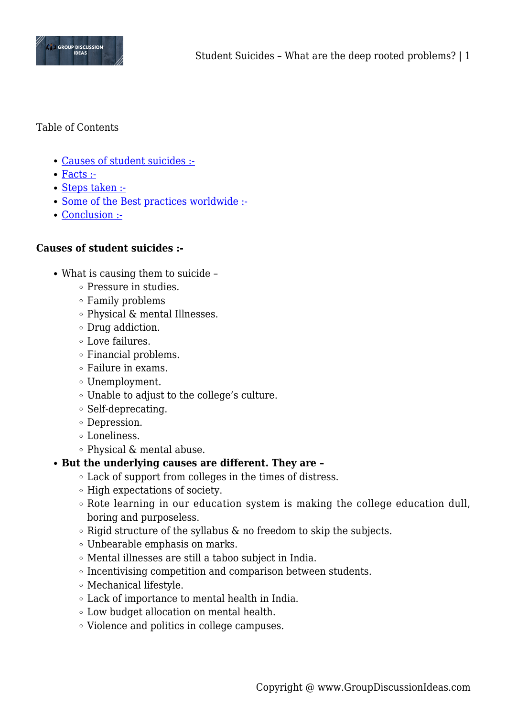

# Table of Contents

- [Causes of student suicides :-](#page--1-0)
- [Facts :-](#page--1-0)
- [Steps taken :-](#page--1-0)
- [Some of the Best practices worldwide :-](#page--1-0)
- [Conclusion :-](#page--1-0)

## **Causes of student suicides :-**

- What is causing them to suicide
	- Pressure in studies.
	- Family problems
	- Physical & mental Illnesses.
	- Drug addiction.
	- Love failures.
	- Financial problems.
	- Failure in exams.
	- Unemployment.
	- Unable to adjust to the college's culture.
	- $\circ$  Self-deprecating.
	- Depression.
	- Loneliness.
	- $\circ$  Physical & mental abuse.

## **But the underlying causes are different. They are –**

- Lack of support from colleges in the times of distress.
- $\circ$  High expectations of society.
- Rote learning in our education system is making the college education dull, boring and purposeless.
- $\circ$  Rigid structure of the syllabus & no freedom to skip the subjects.
- Unbearable emphasis on marks.
- Mental illnesses are still a taboo subject in India.
- Incentivising competition and comparison between students.
- Mechanical lifestyle.
- Lack of importance to mental health in India.
- Low budget allocation on mental health.
- Violence and politics in college campuses.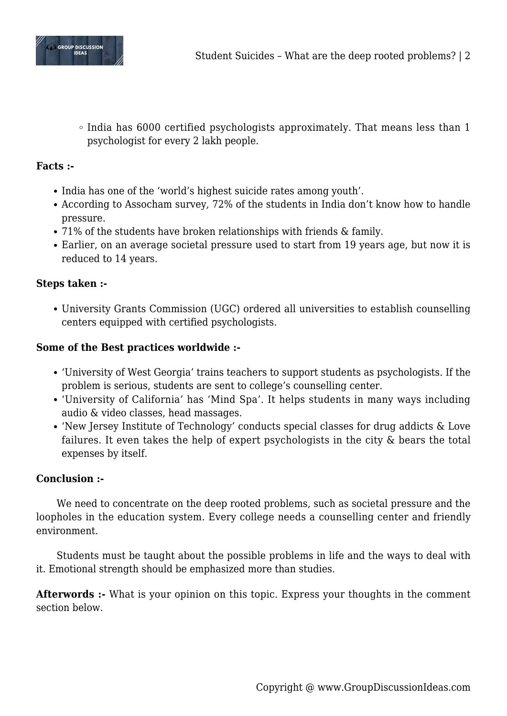

 $\circ$  India has 6000 certified psychologists approximately. That means less than 1 psychologist for every 2 lakh people.

# **Facts :-**

- India has one of the 'world's highest suicide rates among youth'.
- According to Assocham survey, 72% of the students in India don't know how to handle pressure.
- 71% of the students have broken relationships with friends & family.
- Earlier, on an average societal pressure used to start from 19 years age, but now it is reduced to 14 years.

# **Steps taken :-**

University Grants Commission (UGC) ordered all universities to establish counselling centers equipped with certified psychologists.

## **Some of the Best practices worldwide :-**

- 'University of West Georgia' trains teachers to support students as psychologists. If the problem is serious, students are sent to college's counselling center.
- 'University of California' has 'Mind Spa'. It helps students in many ways including audio & video classes, head massages.
- 'New Jersey Institute of Technology' conducts special classes for drug addicts & Love failures. It even takes the help of expert psychologists in the city & bears the total expenses by itself.

## **Conclusion :-**

We need to concentrate on the deep rooted problems, such as societal pressure and the loopholes in the education system. Every college needs a counselling center and friendly environment.

Students must be taught about the possible problems in life and the ways to deal with it. Emotional strength should be emphasized more than studies.

**Afterwords :-** What is your opinion on this topic. Express your thoughts in the comment section below.